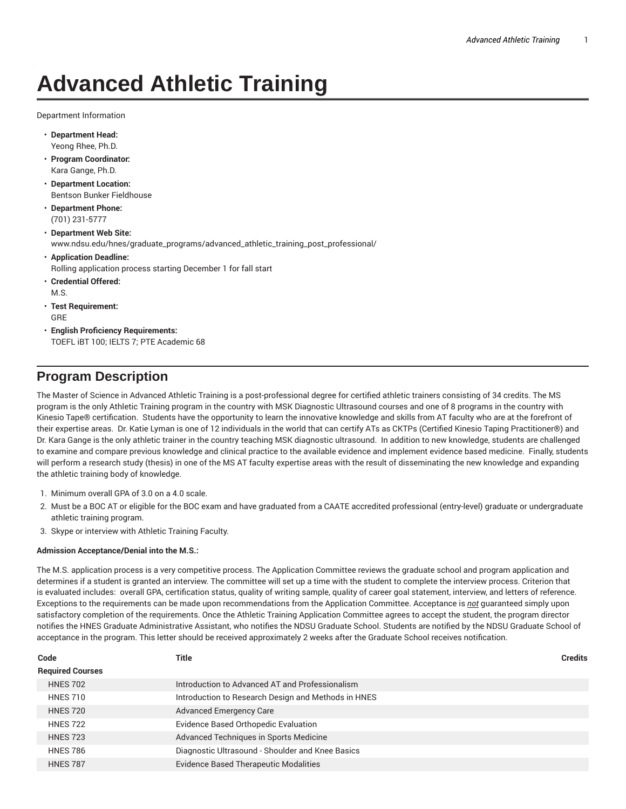# **Advanced Athletic Training**

Department Information

- **Department Head:** Yeong Rhee, Ph.D.
- **Program Coordinator:** Kara Gange, Ph.D.
- **Department Location:** Bentson Bunker Fieldhouse
- **Department Phone:** (701) 231-5777
- **Department Web Site:** www.ndsu.edu/hnes/graduate\_programs/advanced\_athletic\_training\_post\_professional/
- **Application Deadline:** Rolling application process starting December 1 for fall start
- **Credential Offered:** M.S.
- **Test Requirement:** GRE
- **English Proficiency Requirements:** TOEFL iBT 100; IELTS 7; PTE Academic 68

## **Program Description**

The Master of Science in Advanced Athletic Training is a post-professional degree for certified athletic trainers consisting of 34 credits. The MS program is the only Athletic Training program in the country with MSK Diagnostic Ultrasound courses and one of 8 programs in the country with Kinesio Tape® certification. Students have the opportunity to learn the innovative knowledge and skills from AT faculty who are at the forefront of their expertise areas. Dr. Katie Lyman is one of 12 individuals in the world that can certify ATs as CKTPs (Certified Kinesio Taping Practitioner®) and Dr. Kara Gange is the only athletic trainer in the country teaching MSK diagnostic ultrasound. In addition to new knowledge, students are challenged to examine and compare previous knowledge and clinical practice to the available evidence and implement evidence based medicine. Finally, students will perform a research study (thesis) in one of the MS AT faculty expertise areas with the result of disseminating the new knowledge and expanding the athletic training body of knowledge.

- 1. Minimum overall GPA of 3.0 on a 4.0 scale.
- 2. Must be a BOC AT or eligible for the BOC exam and have graduated from a CAATE accredited professional (entry-level) graduate or undergraduate athletic training program.
- 3. Skype or interview with Athletic Training Faculty.

### **Admission Acceptance/Denial into the M.S.:**

The M.S. application process is a very competitive process. The Application Committee reviews the graduate school and program application and determines if a student is granted an interview. The committee will set up a time with the student to complete the interview process. Criterion that is evaluated includes: overall GPA, certification status, quality of writing sample, quality of career goal statement, interview, and letters of reference. Exceptions to the requirements can be made upon recommendations from the Application Committee. Acceptance is *not* guaranteed simply upon satisfactory completion of the requirements. Once the Athletic Training Application Committee agrees to accept the student, the program director notifies the HNES Graduate Administrative Assistant, who notifies the NDSU Graduate School. Students are notified by the NDSU Graduate School of acceptance in the program. This letter should be received approximately 2 weeks after the Graduate School receives notification.

| Code                    | Title                                               | <b>Credits</b> |
|-------------------------|-----------------------------------------------------|----------------|
| <b>Required Courses</b> |                                                     |                |
| <b>HNES 702</b>         | Introduction to Advanced AT and Professionalism     |                |
| <b>HNES 710</b>         | Introduction to Research Design and Methods in HNES |                |
| <b>HNES 720</b>         | <b>Advanced Emergency Care</b>                      |                |
| <b>HNES 722</b>         | Evidence Based Orthopedic Evaluation                |                |
| <b>HNES 723</b>         | Advanced Techniques in Sports Medicine              |                |
| <b>HNES 786</b>         | Diagnostic Ultrasound - Shoulder and Knee Basics    |                |
| <b>HNES 787</b>         | <b>Evidence Based Therapeutic Modalities</b>        |                |
|                         |                                                     |                |